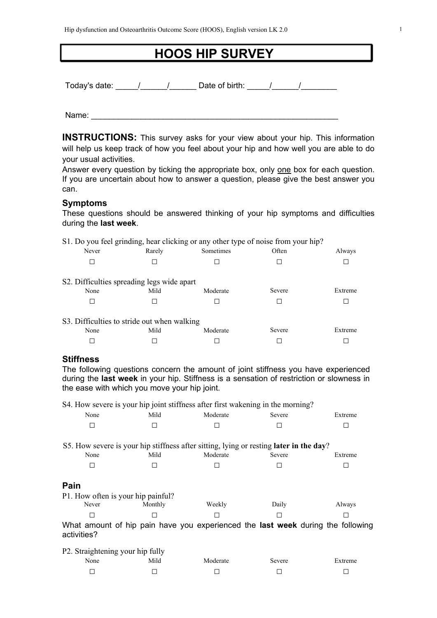# **HOOS HIP SURVEY**

Today's date: The Mate of birth: The Mate of birth: The Mate of birth: The Mate of birth: The Mate of birth: T

Name:  $\blacksquare$ 

**INSTRUCTIONS:** This survey asks for your view about your hip. This information will help us keep track of how you feel about your hip and how well you are able to do your usual activities.

Answer every question by ticking the appropriate box, only one box for each question. If you are uncertain about how to answer a question, please give the best answer you can.

#### **Symptoms**

These questions should be answered thinking of your hip symptoms and difficulties during the **last week**.

|                                             |        | S1. Do you feel grinding, hear clicking or any other type of noise from your hip? |        |         |
|---------------------------------------------|--------|-----------------------------------------------------------------------------------|--------|---------|
| Never                                       | Rarely | Sometimes                                                                         | Often  | Always  |
|                                             |        |                                                                                   |        |         |
| S2. Difficulties spreading legs wide apart  |        |                                                                                   |        |         |
| None                                        | Mild   | Moderate                                                                          | Severe | Extreme |
|                                             |        |                                                                                   |        |         |
| S3. Difficulties to stride out when walking |        |                                                                                   |        |         |
| None                                        | Mild   | Moderate                                                                          | Severe | Extreme |
|                                             |        |                                                                                   |        |         |

## **Stiffness**

The following questions concern the amount of joint stiffness you have experienced during the **last week** in your hip. Stiffness is a sensation of restriction or slowness in the ease with which you move your hip joint.

S4. How severe is your hip joint stiffness after first wakening in the morning?

| None                               | Mild    | Moderate | Severe                                                                                 | Extreme |
|------------------------------------|---------|----------|----------------------------------------------------------------------------------------|---------|
| П                                  | Ш       |          |                                                                                        |         |
|                                    |         |          |                                                                                        |         |
|                                    |         |          | S5. How severe is your hip stiffness after sitting, lying or resting later in the day? |         |
| None                               | Mild    | Moderate | Severe                                                                                 | Extreme |
| П                                  |         |          |                                                                                        |         |
|                                    |         |          |                                                                                        |         |
| Pain                               |         |          |                                                                                        |         |
| P1. How often is your hip painful? |         |          |                                                                                        |         |
| Never                              | Monthly | Weekly   | Daily                                                                                  | Always  |
| П                                  |         |          |                                                                                        |         |
| activities?                        |         |          | What amount of hip pain have you experienced the <b>last week</b> during the following |         |
| P2. Straightening your hip fully   |         |          |                                                                                        |         |

| -<br>--<br>None | . .<br>-<br>Mild | Moderate | Severe | Extreme |
|-----------------|------------------|----------|--------|---------|
|                 |                  |          |        | _       |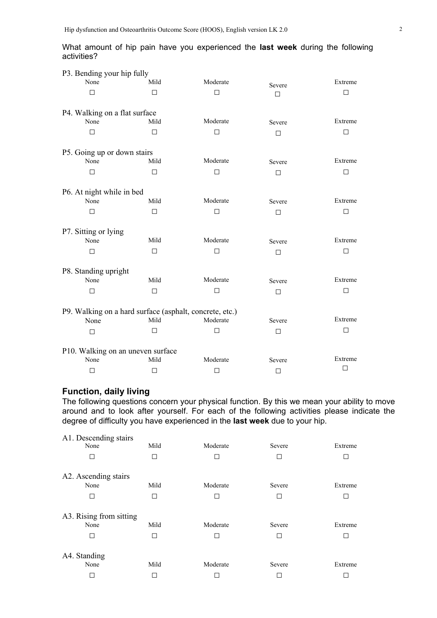|             |  |  |  | What amount of hip pain have you experienced the last week during the following |  |  |  |
|-------------|--|--|--|---------------------------------------------------------------------------------|--|--|--|
| activities? |  |  |  |                                                                                 |  |  |  |

| P3. Bending your hip fully                              |        |          |        |         |
|---------------------------------------------------------|--------|----------|--------|---------|
| None                                                    | Mild   | Moderate | Severe | Extreme |
| П                                                       | П      | $\Box$   | $\Box$ | П       |
|                                                         |        |          |        |         |
| P4. Walking on a flat surface                           |        |          |        |         |
| None                                                    | Mild   | Moderate | Severe | Extreme |
| $\Box$                                                  | $\Box$ | $\Box$   | $\Box$ | $\Box$  |
|                                                         |        |          |        |         |
| P5. Going up or down stairs                             |        |          |        |         |
| None                                                    | Mild   | Moderate | Severe | Extreme |
| П                                                       | □      | □        |        | □       |
|                                                         |        |          | П      |         |
| P6. At night while in bed                               |        |          |        |         |
| None                                                    | Mild   | Moderate | Severe | Extreme |
| п                                                       | П      |          |        |         |
|                                                         |        | □        | $\Box$ | □       |
|                                                         |        |          |        |         |
| P7. Sitting or lying<br>None                            | Mild   | Moderate | Severe | Extreme |
|                                                         |        |          |        |         |
| $\Box$                                                  | □      | $\Box$   | $\Box$ | □       |
|                                                         |        |          |        |         |
| P8. Standing upright<br>None                            | Mild   | Moderate | Severe | Extreme |
|                                                         |        |          |        |         |
| □                                                       | $\Box$ | □        | $\Box$ | □       |
|                                                         |        |          |        |         |
| P9. Walking on a hard surface (asphalt, concrete, etc.) |        |          |        | Extreme |
| None                                                    | Mild   | Moderate | Severe |         |
| □                                                       | □      | □        | ⊓      | $\Box$  |
|                                                         |        |          |        |         |
| P10. Walking on an uneven surface                       |        |          |        |         |
| None                                                    | Mild   | Moderate | Severe | Extreme |
| П                                                       | □      | $\Box$   | $\Box$ | □       |

# **Function, daily living**

The following questions concern your physical function. By this we mean your ability to move around and to look after yourself. For each of the following activities please indicate the degree of difficulty you have experienced in the **last week** due to your hip.

| A1. Descending stairs<br>None        | Mild         | Moderate      | Severe           | Extreme      |
|--------------------------------------|--------------|---------------|------------------|--------------|
| П                                    |              |               | П                | г            |
| A2. Ascending stairs                 |              |               |                  |              |
| None                                 | Mild         | Moderate      | Severe           | Extreme      |
| П                                    | $\mathbf{I}$ | $\Box$        | $\Box$           | $\Box$       |
| A3. Rising from sitting<br>None<br>□ | Mild         | Moderate<br>П | Severe<br>$\Box$ | Extreme<br>г |
| A4. Standing                         |              |               |                  |              |
| None                                 | Mild         | Moderate      | Severe           | Extreme      |
|                                      |              |               |                  |              |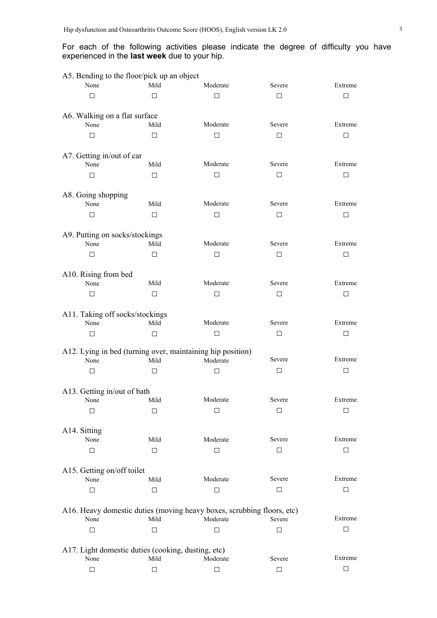### For each of the following activities please indicate the degree of difficulty you have experienced in the **last week** due to your hip.

| A5. Bending to the floor/pick up an object         |        |                                                                        |        |         |
|----------------------------------------------------|--------|------------------------------------------------------------------------|--------|---------|
| None                                               | Mild   | Moderate                                                               | Severe | Extreme |
| $\Box$                                             | П      | $\Box$                                                                 | $\Box$ | П       |
|                                                    |        |                                                                        |        |         |
| A6. Walking on a flat surface<br>None              | Mild   | Moderate                                                               | Severe | Extreme |
| П                                                  | $\Box$ | $\Box$                                                                 | $\Box$ | □       |
|                                                    |        |                                                                        |        |         |
| A7. Getting in/out of car                          |        |                                                                        |        |         |
| None                                               | Mild   | Moderate                                                               | Severe | Extreme |
| П                                                  | $\Box$ | $\Box$                                                                 | $\Box$ | □       |
| A8. Going shopping                                 |        |                                                                        |        |         |
| None                                               | Mild   | Moderate                                                               | Severe | Extreme |
| П                                                  | $\Box$ | $\Box$                                                                 | $\Box$ | □       |
|                                                    |        |                                                                        |        |         |
| A9. Putting on socks/stockings<br>None             | Mild   | Moderate                                                               | Severe | Extreme |
|                                                    |        | $\Box$                                                                 | $\Box$ |         |
| □                                                  | $\Box$ |                                                                        |        | □       |
| A10. Rising from bed                               |        |                                                                        |        |         |
| None                                               | Mild   | Moderate                                                               | Severe | Extreme |
| □                                                  | $\Box$ | $\Box$                                                                 | $\Box$ | □       |
| A11. Taking off socks/stockings                    |        |                                                                        |        |         |
| None                                               | Mild   | Moderate                                                               | Severe | Extreme |
| □                                                  | $\Box$ | $\Box$                                                                 | $\Box$ | □       |
|                                                    |        | A12. Lying in bed (turning over, maintaining hip position)             |        |         |
| None                                               | Mild   | Moderate                                                               | Severe | Extreme |
| □                                                  | □      | □                                                                      | $\Box$ | П       |
|                                                    |        |                                                                        |        |         |
| A13. Getting in/out of bath                        |        |                                                                        |        |         |
| None                                               | Mild   | Moderate                                                               | Severe | Extreme |
| $\Box$                                             | □      | □                                                                      | □      | □       |
| A14. Sitting                                       |        |                                                                        |        |         |
| None                                               | Mild   | Moderate                                                               | Severe | Extreme |
| □                                                  | □      | □                                                                      | □      | П       |
| A15. Getting on/off toilet                         |        |                                                                        |        |         |
| None                                               | Mild   | Moderate                                                               | Severe | Extreme |
| □                                                  | $\Box$ | $\Box$                                                                 | $\Box$ | □       |
|                                                    |        |                                                                        |        |         |
|                                                    |        | A16. Heavy domestic duties (moving heavy boxes, scrubbing floors, etc) |        |         |
| None                                               | Mild   | Moderate                                                               | Severe | Extreme |
| □                                                  | ⊓      | □                                                                      | □      | П       |
| A17. Light domestic duties (cooking, dusting, etc) |        |                                                                        |        |         |
| None                                               | Mild   | Moderate                                                               | Severe | Extreme |
| □                                                  | □      | □                                                                      | $\Box$ | □       |